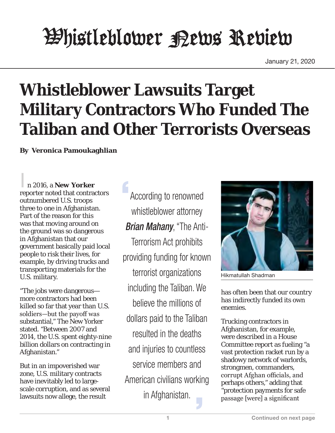January 21, 2020

# **Whistleblower Lawsuits Target Military Contractors Who Funded The Taliban and Other Terrorists Overseas**

**By Veronica Pamoukaghlian** 

In 2016, a *New Yorker* reporter noted that contractors outnumbered U.S. troops three to one in Afghanistan. Part of the reason for this was that moving around on the ground was so dangerous in Afghanistan that our government basically paid local people to risk their lives, for example, by driving trucks and transporting materials for the U.S. military.

"The jobs were dangerous more contractors had been killed so far that year than U.S. soldiers—but the payoff was substantial," The New Yorker stated. "Between 2007 and 2014, the U.S. spent eighty-nine billion dollars on contracting in Afghanistan."

But in an impoverished war zone, U.S. military contracts have inevitably led to largescale corruption, and as several lawsuits now allege, the result

According to renowned whistleblower attorney *Brian Mahany*, "The Anti-Terrorism Act prohibits providing funding for known terrorist organizations including the Taliban. We believe the millions of dollars paid to the Taliban resulted in the deaths and injuries to countless service members and American civilians working in Afghanistan.



Hikmatullah Shadman

has often been that our country has indirectly funded its own enemies.

Trucking contractors in Afghanistan, for example, were described in a House Committee report as fueling "a vast protection racket run by a shadowy network of warlords, strongmen, commanders, corrupt Afghan officials, and perhaps others," adding that "protection payments for safe passage [were] a significant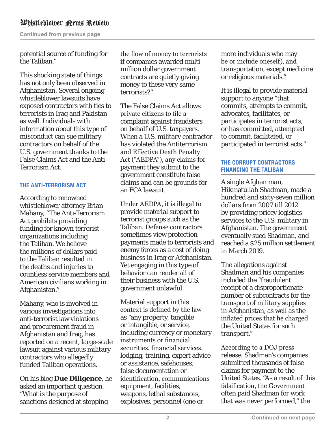Continued from previous page

potential source of funding for the Taliban."

This shocking state of things has not only been observed in Afghanistan. Several ongoing whistleblower lawsuits have exposed contractors with ties to terrorists in Iraq and Pakistan as well. Individuals with information about this type of misconduct can sue military contractors on behalf of the U.S. government thanks to the False Claims Act and the Anti-Terrorism Act.

#### THE ANTI-TERRORISM ACT

According to renowned whistleblower attorney Brian Mahany, "The Anti-Terrorism Act prohibits providing funding for known terrorist organizations including the Taliban. We believe the millions of dollars paid to the Taliban resulted in the deaths and injuries to countless service members and American civilians working in Afghanistan."

Mahany, who is involved in various investigations into anti-terrorist law violations and procurement fraud in Afghanistan and Iraq, has reported on a recent, large-scale lawsuit against various military contractors who allegedly funded Taliban operations.

On his blog *Due Diligence*, he asked an important question, "What is the purpose of sanctions designed at stopping

the flow of money to terrorists if companies awarded multimillion dollar government contracts are quietly giving money to these very same terrorists?"

The False Claims Act allows private citizens to file a complaint against fraudsters on behalf of U.S. taxpayers. When a U.S. military contractor has violated the Antiterrorism and Effective Death Penalty Act ("AEDPA"), any claims for payment they submit to the government constitute false claims and can be grounds for an FCA lawsuit.

Under AEDPA, it is illegal to provide material support to terrorist groups such as the Taliban. Defense contractors sometimes view protection payments made to terrorists and enemy forces as a cost of doing business in Iraq or Afghanistan. Yet engaging in this type of behavior can render all of their business with the U.S. government unlawful.

Material support in this context is defined by the law as "any property, tangible or intangible, or service, including currency or monetary instruments or financial securities, financial services, lodging, training, expert advice or assistance, safehouses, false documentation or identification, communications equipment, facilities, weapons, lethal substances, explosives, personnel (one or

more individuals who may be or include oneself), and transportation, except medicine or religious materials."

It is illegal to provide material support to anyone "that commits, attempts to commit, advocates, facilitates, or participates in terrorist acts, or has committed, attempted to commit, facilitated, or participated in terrorist acts."

#### THE CORRUPT CONTRACTORS FINANCING THE TALIBAN

A single Afghan man, Hikmatullah Shadman, made a hundred and sixty-seven million dollars from 2007 till 2012 by providing pricey logistics services to the U.S. military in Afghanistan. The government eventually sued Shadman, and reached a \$25 million settlement in March 2019.

The allegations against Shadman and his companies included the "fraudulent receipt of a disproportionate number of subcontracts for the transport of military supplies in Afghanistan, as well as the inflated prices that he charged the United States for such transport."

According to a DOJ press release, Shadman's companies submitted thousands of false claims for payment to the United States. "As a result of this falsification, the Government often paid Shadman for work that was never performed," the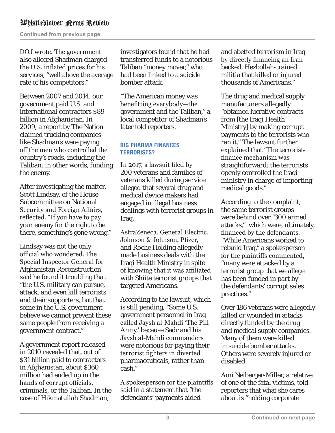Continued from previous page

DOJ wrote. The government also alleged Shadman charged the U.S. inflated prices for his services, "well above the average rate of his competitors."

Between 2007 and 2014, our government paid U.S. and international contractors \$89 billion in Afghanistan. In 2009, a report by The Nation claimed trucking companies like Shadman's were paying off the men who controlled the country's roads, including the Taliban; in other words, funding the enemy.

After investigating the matter, Scott Lindsay, of the House Subcommittee on National Security and Foreign Affairs, reflected, "If you have to pay your enemy for the right to be there, something's gone wrong."

Lindsay was not the only official who wondered. The Special Inspector General for Afghanistan Reconstruction said he found it troubling that "the U.S. military can pursue, attack, and even kill terrorists and their supporters, but that some in the U.S. government believe we cannot prevent these same people from receiving a government contract."

A government report released in 2010 revealed that, out of \$31 billion paid to contractors in Afghanistan, about \$360 million had ended up in the hands of corrupt officials, criminals, or the Taliban. In the case of Hikmatullah Shadman,

investigators found that he had transferred funds to a notorious Taliban "money mover," who had been linked to a suicide bomber attack.

"The American money was benefitting everybody—the government and the Taliban," a local competitor of Shadman's later told reporters.

#### BIG PHARMA FINANCES TERRORISTS?

In 2017, a lawsuit filed by 200 veterans and families of veterans killed during service alleged that several drug and medical device makers had engaged in illegal business dealings with terrorist groups in Iraq.

AstraZeneca, General Electric, Johnson & Johnson, Pfizer, and Roche Holding allegedly made business deals with the Iraqi Health Ministry in spite of knowing that it was affiliated with Shiite terrorist groups that targeted Americans.

According to the lawsuit, which is still pending, "Some U.S. government personnel in Iraq called Jaysh al-Mahdi 'The Pill Army,' because Sadr and his Jaysh al-Mahdi commanders were notorious for paying their terrorist fighters in diverted pharmaceuticals, rather than cash."

A spokesperson for the plaintiffs said in a statement that "the defendants' payments aided

and abetted terrorism in Iraq by directly financing an Iranbacked, Hezbollah-trained militia that killed or injured thousands of Americans."

The drug and medical supply manufacturers allegedly "obtained lucrative contracts from [the Iraqi Health Ministry] by making corrupt payments to the terrorists who ran it." The lawsuit further explained that "The terroristfinance mechanism was straightforward: the terrorists openly controlled the Iraqi ministry in charge of importing medical goods."

According to the complaint, the same terrorist groups were behind over "300 armed attacks," which were, ultimately, financed by the defendants. "While Americans worked to rebuild Iraq," a spokesperson for the plaintiffs commented, "many were attacked by a terrorist group that we allege has been funded in part by the defendants' corrupt sales practices."

Over 186 veterans were allegedly killed or wounded in attacks directly funded by the drug and medical supply companies. Many of them were killed in suicide bomber attacks. Others were severely injured or disabled.

Ami Neiberger-Miller, a relative of one of the fatal victims, told reporters that what she cares about is "holding corporate